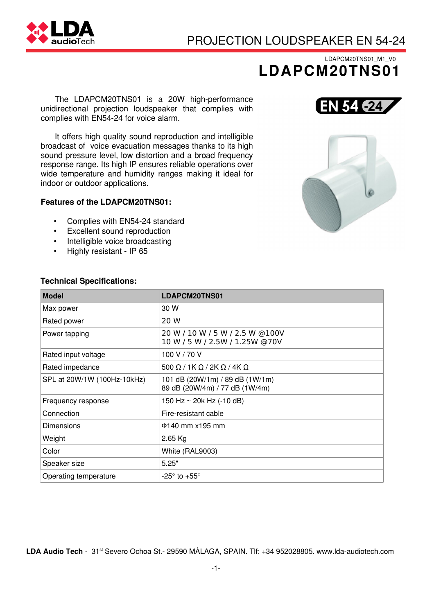# PROJECTION LOUDSPEAKER EN 54−24

## LDAPCM20TNS01\_M1\_V0 LDAPCM20TNS01

The LDAPCM20TNS01 is a 20W high−performance unidirectional projection loudspeaker that complies with complies with EN54−24 for voice alarm.

It offers high quality sound reproduction and intelligible broadcast of voice evacuation messages thanks to its high sound pressure level, low distortion and a broad frequency response range. Its high IP ensures reliable operations over wide temperature and humidity ranges making it ideal for indoor or outdoor applications.

### Features of the LDAPCM20TNS01:

- Complies with EN54−24 standard
- Excellent sound reproduction
- Intelligible voice broadcasting
- Highly resistant − IP 65



**EN 54 624** 

#### Technical Specifications:

| <b>Model</b>                | LDAPCM20TNS01                                                     |
|-----------------------------|-------------------------------------------------------------------|
| Max power                   | 30 W                                                              |
| Rated power                 | 20 W                                                              |
| Power tapping               | 20 W / 10 W / 5 W / 2.5 W @100V<br>10 W / 5 W / 2.5W / 1.25W @70V |
| Rated input voltage         | 100 V / 70 V                                                      |
| Rated impedance             | 500 $\Omega$ / 1K $\Omega$ / 2K $\Omega$ / 4K $\Omega$            |
| SPL at 20W/1W (100Hz-10kHz) | 101 dB (20W/1m) / 89 dB (1W/1m)<br>89 dB (20W/4m) / 77 dB (1W/4m) |
| Frequency response          | 150 Hz $\sim$ 20k Hz (-10 dB)                                     |
| Connection                  | Fire-resistant cable                                              |
| <b>Dimensions</b>           | $\Phi$ 140 mm x195 mm                                             |
| Weight                      | $2.65$ Kg                                                         |
| Color                       | White (RAL9003)                                                   |
| Speaker size                | 5.25"                                                             |
| Operating temperature       | -25 $\degree$ to +55 $\degree$                                    |

LDA Audio Tech − 31st Severo Ochoa St.− 29590 MÁLAGA, SPAIN. Tlf: +34 952028805. www.lda−audiotech.com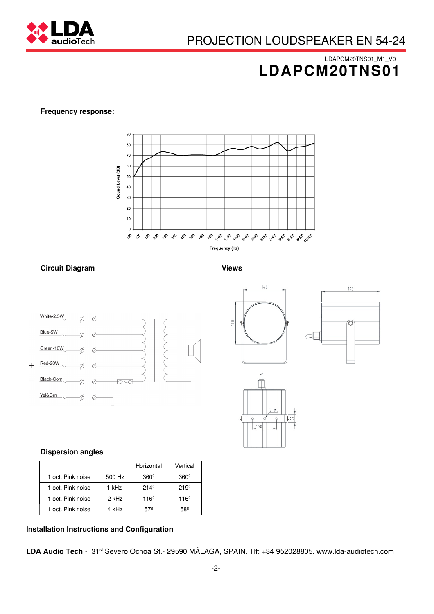

## LDAPCM20TNS01\_M1\_V0 LDAPCM20TNS01

195

 $\widehat{\mathcal{O}}$ 

ď

#### Frequency response:



#### Circuit Diagram **Views** Views

 $14.0$ 

E

 $100$ 

 $140$ 

 $-\phi$ 

 $\varphi$ 

 $\mathbb{R}$ 



## Dispersion angles

|                   |        | Horizontal    | Vertical      |
|-------------------|--------|---------------|---------------|
| 1 oct. Pink noise | 500 Hz | $360^\circ$   | $360^\circ$   |
| 1 oct. Pink noise | 1 kHz  | $214^{\circ}$ | $219^{\circ}$ |
| 1 oct. Pink noise | 2 kHz  | $116^{\circ}$ | $116^{\circ}$ |
| 1 oct. Pink noise | 4 kHz  | 57º           | 58º           |

#### Installation Instructions and Configuration

LDA Audio Tech − 31st Severo Ochoa St.− 29590 MÁLAGA, SPAIN. Tlf: +34 952028805. www.lda−audiotech.com